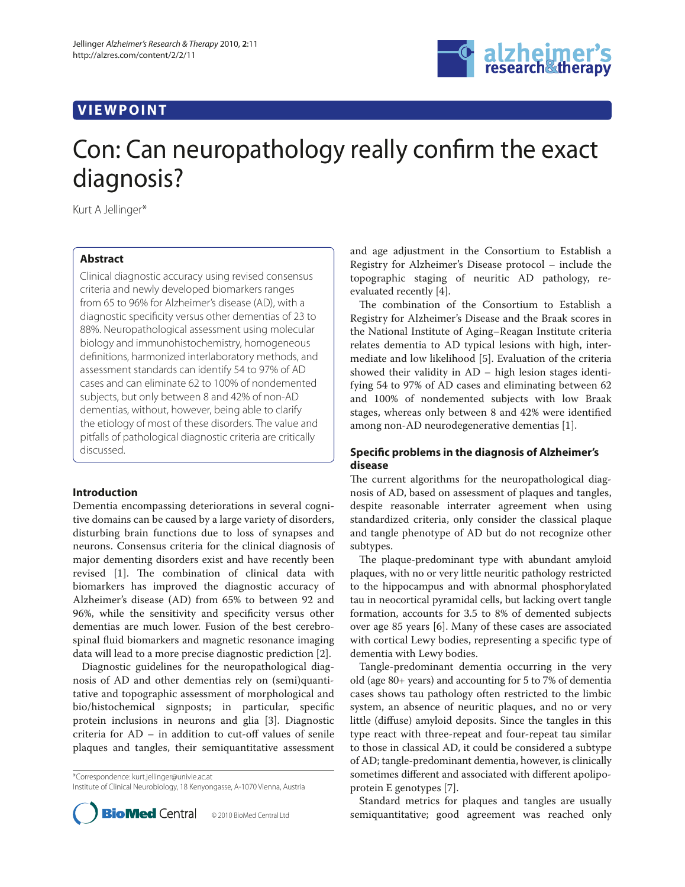## **VIEWPOINT**



# Con: Can neuropathology really confirm the exact diagnosis?

Kurt A Jellinger\*

## **Abstract**

Clinical diagnostic accuracy using revised consensus criteria and newly developed biomarkers ranges from 65 to 96% for Alzheimer's disease (AD), with a diagnostic specificity versus other dementias of 23 to 88%. Neuropathological assessment using molecular biology and immunohistochemistry, homogeneous definitions, harmonized interlaboratory methods, and assessment standards can identify 54 to 97% of AD cases and can eliminate 62 to 100% of nondemented subjects, but only between 8 and 42% of non-AD dementias, without, however, being able to clarify the etiology of most of these disorders. The value and pitfalls of pathological diagnostic criteria are critically discussed.

## **Introduction**

Dementia encompassing deteriorations in several cognitive domains can be caused by a large variety of disorders, disturbing brain functions due to loss of synapses and neurons. Consensus criteria for the clinical diagnosis of major dementing disorders exist and have recently been revised [1]. The combination of clinical data with biomarkers has improved the diagnostic accuracy of Alzheimer's disease (AD) from 65% to between 92 and 96%, while the sensitivity and specificity versus other dementias are much lower. Fusion of the best cerebrospinal fluid biomarkers and magnetic resonance imaging data will lead to a more precise diagnostic prediction [2].

Diagnostic guidelines for the neuropathological diagnosis of AD and other dementias rely on (semi)quantitative and topographic assessment of morphological and bio/histochemical signposts; in particular, specific protein inclusions in neurons and glia [3]. Diagnostic criteria for AD – in addition to cut-off values of senile plaques and tangles, their semiquantitative assessment

\*Correspondence: kurt.jellinger@univie.ac.at Institute of Clinical Neurobiology, 18 Kenyongasse, A-1070 Vienna, Austria



and age adjustment in the Consortium to Establish a Registry for Alzheimer's Disease protocol – include the topographic staging of neuritic AD pathology, reevaluated recently [4].

The combination of the Consortium to Establish a Registry for Alzheimer's Disease and the Braak scores in the National Institute of Aging–Reagan Institute criteria relates dementia to AD typical lesions with high, intermediate and low likelihood [5]. Evaluation of the criteria showed their validity in AD – high lesion stages identifying 54 to 97% of AD cases and eliminating between 62 and 100% of nondemented subjects with low Braak stages, whereas only between 8 and 42% were identified among non-AD neurodegenerative dementias [1].

## **Specific problems in the diagnosis of Alzheimer's disease**

The current algorithms for the neuropathological diagnosis of AD, based on assessment of plaques and tangles, despite reasonable interrater agreement when using standardized criteria, only consider the classical plaque and tangle phenotype of AD but do not recognize other subtypes.

The plaque-predominant type with abundant amyloid plaques, with no or very little neuritic pathology restricted to the hippocampus and with abnormal phosphorylated tau in neocortical pyramidal cells, but lacking overt tangle formation, accounts for 3.5 to 8% of demented subjects over age 85 years [6]. Many of these cases are associated with cortical Lewy bodies, representing a specific type of dementia with Lewy bodies.

Tangle-predominant dementia occurring in the very old (age 80+ years) and accounting for 5 to 7% of dementia cases shows tau pathology often restricted to the limbic system, an absence of neuritic plaques, and no or very little (diffuse) amyloid deposits. Since the tangles in this type react with three-repeat and four-repeat tau similar to those in classical AD, it could be considered a subtype of AD; tangle-predominant dementia, however, is clinically sometimes different and associated with different apolipoprotein E genotypes [7].

Standard metrics for plaques and tangles are usually semiquantitative; good agreement was reached only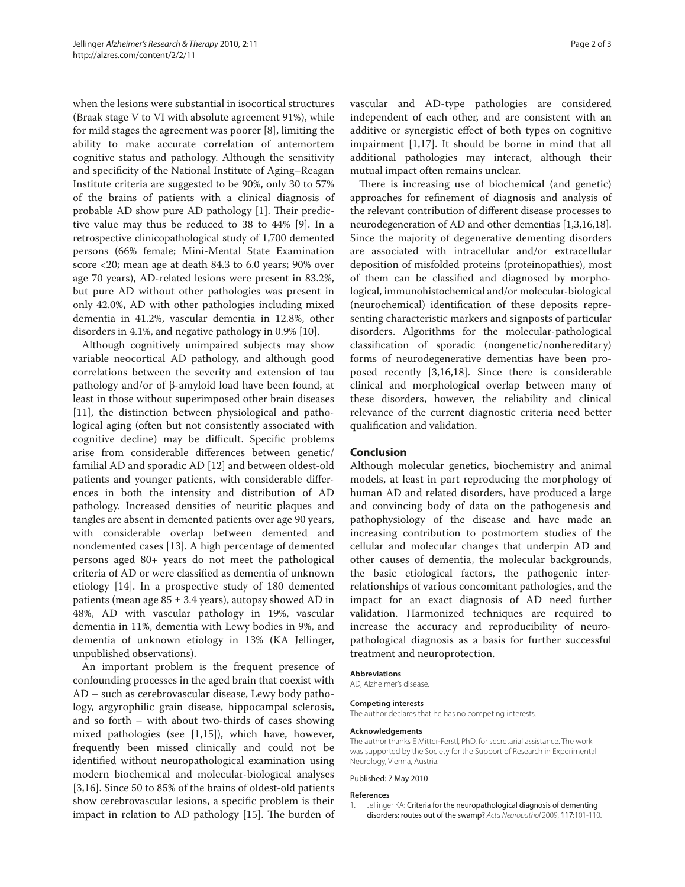when the lesions were substantial in isocortical structures (Braak stage V to VI with absolute agreement 91%), while for mild stages the agreement was poorer [8], limiting the ability to make accurate correlation of antemortem cognitive status and pathology. Although the sensitivity and specificity of the National Institute of Aging–Reagan Institute criteria are suggested to be 90%, only 30 to 57% of the brains of patients with a clinical diagnosis of probable AD show pure AD pathology  $[1]$ . Their predictive value may thus be reduced to 38 to 44% [9]. In a retrospective clinicopathological study of 1,700 demented persons (66% female; Mini-Mental State Examination score <20; mean age at death 84.3 to 6.0 years; 90% over age 70 years), AD-related lesions were present in 83.2%, but pure AD without other pathologies was present in only 42.0%, AD with other pathologies including mixed dementia in 41.2%, vascular dementia in 12.8%, other disorders in 4.1%, and negative pathology in 0.9% [10].

Although cognitively unimpaired subjects may show variable neocortical AD pathology, and although good correlations between the severity and extension of tau pathology and/or of β-amyloid load have been found, at least in those without superimposed other brain diseases [11], the distinction between physiological and pathological aging (often but not consistently associated with cognitive decline) may be difficult. Specific problems arise from considerable differences between genetic/ familial AD and sporadic AD [12] and between oldest-old patients and younger patients, with considerable differences in both the intensity and distribution of AD pathology. Increased densities of neuritic plaques and tangles are absent in demented patients over age 90 years, with considerable overlap between demented and nondemented cases [13]. A high percentage of demented persons aged 80+ years do not meet the pathological criteria of AD or were classified as dementia of unknown etiology [14]. In a prospective study of 180 demented patients (mean age  $85 \pm 3.4$  years), autopsy showed AD in 48%, AD with vascular pathology in 19%, vascular dementia in 11%, dementia with Lewy bodies in 9%, and dementia of unknown etiology in 13% (KA Jellinger, unpublished observations).

An important problem is the frequent presence of confounding processes in the aged brain that coexist with AD – such as cerebrovascular disease, Lewy body pathology, argyrophilic grain disease, hippocampal sclerosis, and so forth – with about two-thirds of cases showing mixed pathologies (see [1,15]), which have, however, frequently been missed clinically and could not be identified without neuropathological examination using modern biochemical and molecular-biological analyses [3,16]. Since 50 to 85% of the brains of oldest-old patients show cerebrovascular lesions, a specific problem is their impact in relation to AD pathology [15]. The burden of

vascular and AD-type pathologies are considered independent of each other, and are consistent with an additive or synergistic effect of both types on cognitive impairment [1,17]. It should be borne in mind that all additional pathologies may interact, although their mutual impact often remains unclear.

There is increasing use of biochemical (and genetic) approaches for refinement of diagnosis and analysis of the relevant contribution of different disease processes to neurodegeneration of AD and other dementias [1,3,16,18]. Since the majority of degenerative dementing disorders are associated with intracellular and/or extracellular deposition of misfolded proteins (proteinopathies), most of them can be classified and diagnosed by morphological, immunohistochemical and/or molecular-biological (neurochemical) identification of these deposits representing characteristic markers and signposts of particular disorders. Algorithms for the molecular-pathological classification of sporadic (nongenetic/nonhereditary) forms of neurodegenerative dementias have been proposed recently [3,16,18]. Since there is considerable clinical and morphological overlap between many of these disorders, however, the reliability and clinical relevance of the current diagnostic criteria need better qualification and validation.

## **Conclusion**

Although molecular genetics, biochemistry and animal models, at least in part reproducing the morphology of human AD and related disorders, have produced a large and convincing body of data on the pathogenesis and pathophysiology of the disease and have made an increasing contribution to postmortem studies of the cellular and molecular changes that underpin AD and other causes of dementia, the molecular backgrounds, the basic etiological factors, the pathogenic interrelationships of various concomitant pathologies, and the impact for an exact diagnosis of AD need further validation. Harmonized techniques are required to increase the accuracy and reproducibility of neuropathological diagnosis as a basis for further successful treatment and neuroprotection.

#### **Abbreviations**

AD, Alzheimer's disease.

## **Competing interests**

The author declares that he has no competing interests.

#### **Acknowledgements**

The author thanks E Mitter-Ferstl, PhD, for secretarial assistance. The work was supported by the Society for the Support of Research in Experimental Neurology, Vienna, Austria.

### Published: 7 May 2010

#### **Ref erences**

1. Jellinger KA: Criteria for the neuropathological diagnosis of dementing disorders: routes out of the swamp? Acta Neuropathol 2009, 117:101-110.